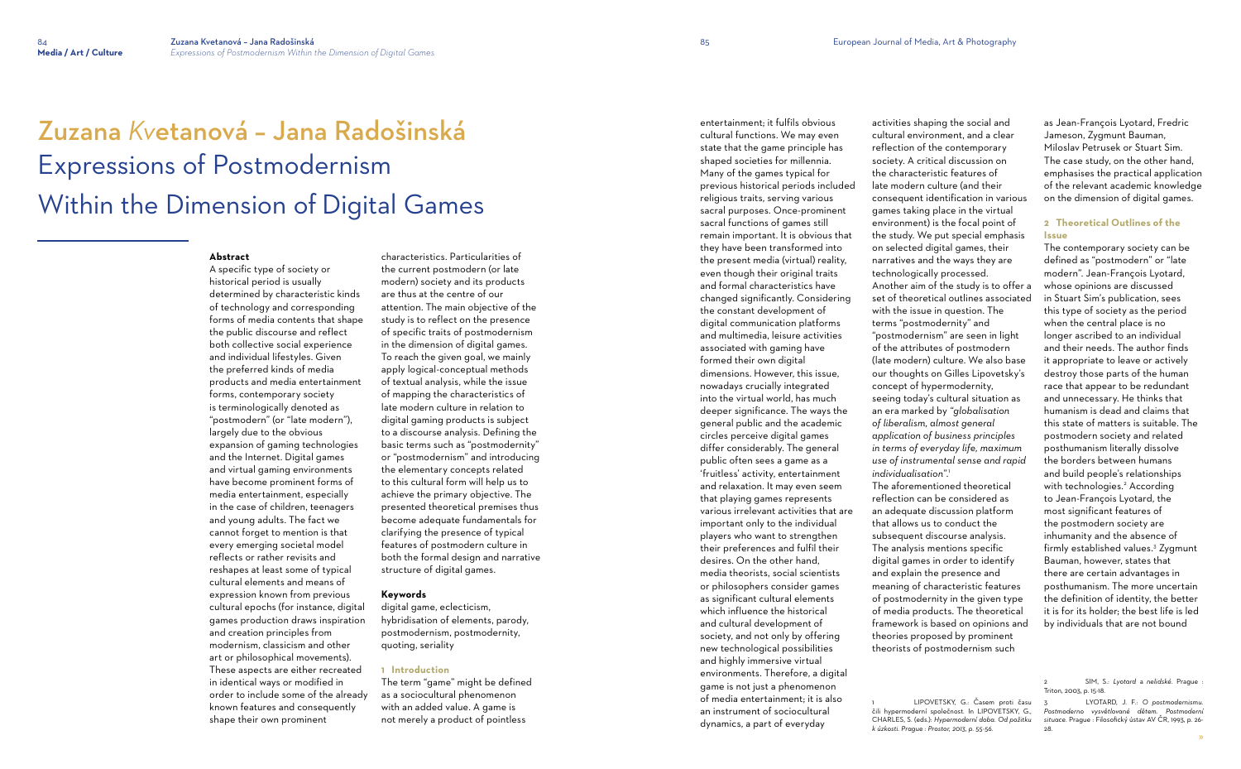# Zuzana *Kv*etanová – Jana Radošinská Expressions of Postmodernism Within the Dimension of Digital Games

#### **Abstract**

A specific type of society or historical period is usually determined by characteristic kinds of technology and corresponding forms of media contents that shape the public discourse and reflect both collective social experience and individual lifestyles. Given the preferred kinds of media products and media entertainment forms, contemporary society is terminologically denoted as "postmodern" (or "late modern"), largely due to the obvious expansion of gaming technologies and the Internet. Digital games and virtual gaming environments have become prominent forms of media entertainment, especially in the case of children, teenagers and young adults. The fact we cannot forget to mention is that every emerging societal model reflects or rather revisits and reshapes at least some of typical cultural elements and means of expression known from previous cultural epochs (for instance, digital games production draws inspiration and creation principles from modernism, classicism and other art or philosophical movements). These aspects are either recreated in identical ways or modified in order to include some of the already known features and consequently shape their own prominent

characteristics. Particularities of the current postmodern (or late modern) society and its products are thus at the centre of our attention. The main objective of the study is to reflect on the presence of specific traits of postmodernism in the dimension of digital games. To reach the given goal, we mainly apply logical-conceptual methods of textual analysis, while the issue of mapping the characteristics of late modern culture in relation to digital gaming products is subject to a discourse analysis. Defining the basic terms such as "postmodernity" or "postmodernism" and introducing the elementary concepts related to this cultural form will help us to achieve the primary objective. The presented theoretical premises thus become adequate fundamentals for clarifying the presence of typical features of postmodern culture in both the formal design and narrative structure of digital games.

## **Keywords**

digital game, eclecticism, hybridisation of elements, parody, postmodernism, postmodernity, quoting, seriality

### **1 Introduction**

The term "game" might be defined as a sociocultural phenomenon with an added value. A game is not merely a product of pointless

entertainment; it fulfils obvious cultural functions. We may even state that the game principle has shaped societies for millennia. Many of the games typical for previous historical periods included religious traits, serving various sacral purposes. Once-prominent sacral functions of games still remain important. It is obvious that they have been transformed into the present media (virtual) reality, even though their original traits and formal characteristics have changed significantly. Considering the constant development of digital communication platforms and multimedia, leisure activities associated with gaming have formed their own digital dimensions. However, this issue, nowadays crucially integrated into the virtual world, has much deeper significance. The ways the general public and the academic circles perceive digital games differ considerably. The general public often sees a game as a 'fruitless' activity, entertainment and relaxation. It may even seem that playing games represents various irrelevant activities that are important only to the individual players who want to strengthen their preferences and fulfil their desires. On the other hand, media theorists, social scientists or philosophers consider games as significant cultural elements which influence the historical and cultural development of society, and not only by offering new technological possibilities and highly immersive virtual environments. Therefore, a digital game is not just a phenomenon of media entertainment; it is also an instrument of sociocultural dynamics, a part of everyday

activities shaping the social and cultural environment, and a clear reflection of the contemporary society. A critical discussion on the characteristic features of late modern culture (and their consequent identification in various games taking place in the virtual environment) is the focal point of the study. We put special emphasis on selected digital games, their narratives and the ways they are technologically processed. Another aim of the study is to offer a set of theoretical outlines associated with the issue in question. The terms "postmodernity" and "postmodernism" are seen in light of the attributes of postmodern (late modern) culture. We also base our thoughts on Gilles Lipovetsky's concept of hypermodernity, seeing today's cultural situation as an era marked by *"globalisation of liberalism, almost general application of business principles in terms of everyday life, maximum use of instrumental sense and rapid individualisation"*. 1 The aforementioned theoretical reflection can be considered as an adequate discussion platform that allows us to conduct the subsequent discourse analysis. The analysis mentions specific digital games in order to identify and explain the presence and meaning of characteristic features of postmodernity in the given type of media products. The theoretical framework is based on opinions and theories proposed by prominent theorists of postmodernism such

as Jean-François Lyotard, Fredric Jameson, Zygmunt Bauman, Miloslav Petrusek or Stuart Sim. The case study, on the other hand, emphasises the practical application of the relevant academic knowledge on the dimension of digital games.

# **2 Theoretical Outlines of the Issue**

The contemporary society can be defined as "postmodern" or "late modern". Jean-François Lyotard, whose opinions are discussed in Stuart Sim's publication, sees this type of society as the period when the central place is no longer ascribed to an individual and their needs. The author finds it appropriate to leave or actively destroy those parts of the human race that appear to be redundant and unnecessary. He thinks that humanism is dead and claims that this state of matters is suitable. The postmodern society and related posthumanism literally dissolve the borders between humans and build people's relationships with technologies. 2 According to Jean-François Lyotard, the most significant features of the postmodern society are inhumanity and the absence of firmly established values. 3 Zygmunt Bauman, however, states that there are certain advantages in posthumanism. The more uncertain the definition of identity, the better it is for its holder; the best life is led by individuals that are not bound

<sup>3</sup> LYOTARD, J. F.: *O postmodernismu. Postmoderno vysvětlované dětem. Postmoderní situace.* Prague : Filosofický ústav AV ČR, 1993, p. 26- 28

<sup>1</sup> LIPOVETSKY, G.: Časem proti času čili hypermoderní společnost. In LIPOVETSKY, G., CHARLES, S. (eds.): *Hypermoderní doba. Od požitku k úzkosti. Prague : Prostor, 2013, p. 55-56.*

<sup>2</sup> SIM, S.: *Lyotard* a *nelidské.* Prague : Triton, 2003, p. 15-18.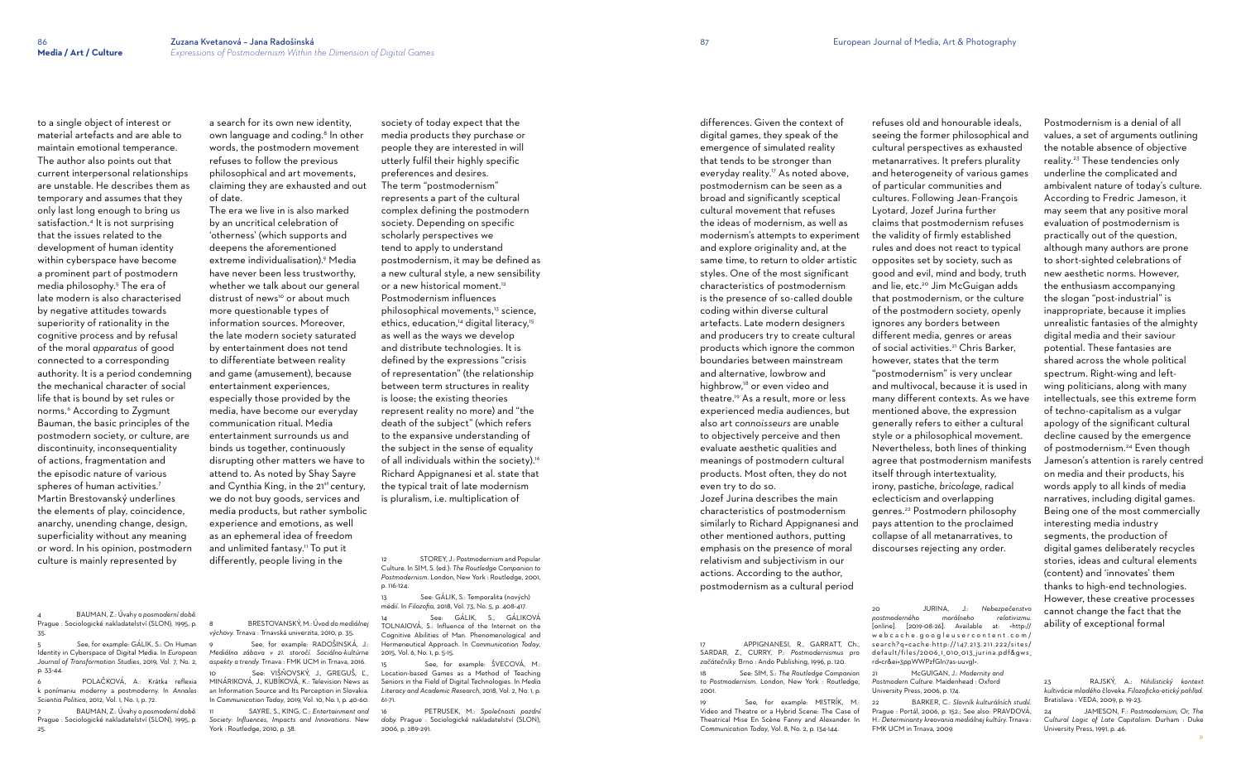to a single object of interest or material artefacts and are able to maintain emotional temperance. The author also points out that current interpersonal relationships are unstable. He describes them as temporary and assumes that they only last long enough to bring us satisfaction.<sup>4</sup> It is not surprising that the issues related to the development of human identity within cyberspace have become a prominent part of postmodern media philosophy.<sup>5</sup> The era of late modern is also characterised by negative attitudes towards superiority of rationality in the cognitive process and by refusal of the moral *apparatus* of good connected to a corresponding authority. It is a period condemning the mechanical character of social life that is bound by set rules or norms.<sup>6</sup> According to Zygmunt Bauman, the basic principles of the postmodern society, or culture, are discontinuity, inconsequentiality of actions, fragmentation and the episodic nature of various spheres of human activities.<sup>7</sup> Martin Brestovanský underlines the elements of play, coincidence, anarchy, unending change, design, superficiality without any meaning or word. In his opinion, postmodern culture is mainly represented by

4 BAUMAN, Z.: Úvahy o *posmoderní době.*  Prague : Sociologické nakladatelství (SLON), 1995, p.

35.

5 See, for example: GÁLIK, S.: On Human Identity in Cyberspace of Digital Media. In *European Journal of Transformation Studies*, 2019, Vol. 7, No. 2, p. 33-44.

See, for example: RADOŠINSKÁ, J.: *Mediálna zábava v 21. storočí. Sociálno-kultúrne aspekty a trendy.* Trnava : FMK UCM in Trnava, 2016.

6 POLAČKOVÁ, A.: Krátka reflexia k ponímaniu moderny a postmoderny. In *Annales Scientia Politica,* 2012, Vol. 1, No. 1, p. 72.

See: VIŠŇOVSKÝ, J., GREGUŠ, Ľ., MINÁRIKOVÁ, J., KUBÍKOVÁ, K.: Television News as an Information Source and Its Perception in Slovakia. In *Communication Today*, 2019, Vol. 10, No. 1, p. 40-60.

7 BAUMAN, Z.: Úvahy o *posmoderní době.*  Prague : Sociologické nakladatelství (SLON), 1995, p. 25.

a search for its own new identity, own language and coding.<sup>8</sup> In other words, the postmodern movement refuses to follow the previous philosophical and art movements, claiming they are exhausted and out of date.

> STOREY, J.: Postmodernism and Popular Culture. In SIM, S. (ed.): *The Routledge Companion to Postmodernism*. London, New York : Routledge, 2001, p. 116-124.

> See: GÁLIK, S., GÁLIKOVÁ TOLNAIOVÁ, S.: Influence of the Internet on the Cognitive Abilities of Man. Phenomenological and Hermeneutical Approach. In *Communication Today*, 2015, Vol. 6, No. 1, p. 5-15.

The era we live in is also marked by an uncritical celebration of 'otherness' (which supports and deepens the aforementioned extreme individualisation).<sup>9</sup> Media have never been less trustworthy, whether we talk about our general distrust of news<sup>10</sup> or about much more questionable types of information sources. Moreover, the late modern society saturated by entertainment does not tend to differentiate between reality and game (amusement), because entertainment experiences, especially those provided by the media, have become our everyday communication ritual. Media entertainment surrounds us and binds us together, continuously disrupting other matters we have to attend to. As noted by Shay Sayre and Cynthia King, in the 21<sup>st</sup> century, we do not buy goods, services and media products, but rather symbolic experience and emotions, as well as an ephemeral idea of freedom and unlimited fantasy.<sup>11</sup> To put it differently, people living in the

> See, for example: ŠVECOVÁ, M.: Location-based Games as a Method of Teaching Seniors in the Field of Digital Technologies. In *Media Literacy and Academic Research*, 2018, Vol. 2, No. 1, p. 61-71.

8 BRESTOVANSKÝ, M.: Úvod *do mediálnej výchovy.* Trnava : Trnavská univerzita, 2010, p. 35.

11 SAYRE, S., KING, C.: *Entertainment and Society: Influences, Impacts and Innovations*. New York : Routledge, 2010, p. 38.

society of today expect that the media products they purchase or people they are interested in will utterly fulfil their highly specific preferences and desires. The term "postmodernism" represents a part of the cultural complex defining the postmodern society. Depending on specific scholarly perspectives we tend to apply to understand postmodernism, it may be defined as a new cultural style, a new sensibility or a new historical moment.<sup>12</sup> Postmodernism influences philosophical movements,13 science, ethics, education,<sup>14</sup> digital literacy,<sup>15</sup> as well as the ways we develop and distribute technologies. It is defined by the expressions "crisis of representation" (the relationship between term structures in reality is loose; the existing theories represent reality no more) and "the death of the subject" (which refers to the expansive understanding of the subject in the sense of equality of all individuals within the society).<sup>16</sup> Richard Appignanesi et al. state that the typical trait of late modernism is pluralism, i.e. multiplication of

13 See: GÁLIK, S.: Temporalita (nových) médií. In *Filozofia*, 2018, Vol. 73, No. 5, p. 408-417.

16 PETRUSEK, M.: *Společnosti pozdní doby.* Prague : Sociologické nakladatelství (SLON), 2006, p. 289-291.

differences. Given the context of digital games, they speak of the emergence of simulated reality that tends to be stronger than everyday reality.<sup>17</sup> As noted above, postmodernism can be seen as a broad and significantly sceptical cultural movement that refuses the ideas of modernism, as well as modernism's attempts to experiment and explore originality and, at the same time, to return to older artistic styles. One of the most significant characteristics of postmodernism is the presence of so-called double coding within diverse cultural artefacts. Late modern designers and producers try to create cultural products which ignore the common boundaries between mainstream and alternative, lowbrow and highbrow,<sup>18</sup> or even video and theatre.19 As a result, more or less experienced media audiences, but also art *connoisseurs* are unable to objectively perceive and then evaluate aesthetic qualities and meanings of postmodern cultural products. Most often, they do not even try to do so. Jozef Jurina describes the main

characteristics of postmodernism similarly to Richard Appignanesi and other mentioned authors, putting emphasis on the presence of moral relativism and subjectivism in our actions. According to the author, postmodernism as a cultural period

17 APPIGNANESI, R., GARRATT, Ch.,

See, for example: MISTRÍK, M.:

SARDAR, Z., CURRY, P.: *Postmodernismus pro začátečníky.* Brno : Ando Publishing, 1996, p. 120. 18 See: SIM, S.: *The Routledge Companion to Postmodernism.* London, New York : Routledge,

2001.

Video and Theatre or a Hybrid Scene: The Case of Theatrical Mise En Scène Fanny and Alexander. In *Communication Today*, Vol. 8, No. 2, p. 134-144.

refuses old and honourable ideals, seeing the former philosophical and cultural perspectives as exhausted metanarratives. It prefers plurality and heterogeneity of various games of particular communities and cultures. Following Jean-François Lyotard, Jozef Jurina further claims that postmodernism refuses the validity of firmly established rules and does not react to typical opposites set by society, such as good and evil, mind and body, truth and lie, etc.<sup>20</sup> Jim McGuigan adds that postmodernism, or the culture of the postmodern society, openly ignores any borders between different media, genres or areas of social activities.<sup>21</sup> Chris Barker, however, states that the term "postmodernism" is very unclear and multivocal, because it is used in many different contexts. As we have mentioned above, the expression generally refers to either a cultural style or a philosophical movement. Nevertheless, both lines of thinking agree that postmodernism manifests itself through intertextuality, irony, pastiche, *bricolage*, radical eclecticism and overlapping genres.22 Postmodern philosophy pays attention to the proclaimed collapse of all metanarratives, to

discourses rejecting any order.

*postmoderného morálneho relativizmu*. rd=cr&ei=3ppWWPzfGIn7as-uuvgI>.

21 McGUIGAN, J.: *Modernity and*  University Press, 2006, p. 174.

FMK UCM in Trnava, 2009.

Postmodernism is a denial of all values, a set of arguments outlining the notable absence of objective reality. 23 These tendencies only underline the complicated and ambivalent nature of today's culture. According to Fredric Jameson, it may seem that any positive moral evaluation of postmodernism is practically out of the question, although many authors are prone to short-sighted celebrations of new aesthetic norms. However, the enthusiasm accompanying the slogan "post-industrial" is inappropriate, because it implies unrealistic fantasies of the almighty digital media and their saviour potential. These fantasies are shared across the whole political spectrum. Right-wing and leftwing politicians, along with many intellectuals, see this extreme form of techno-capitalism as a vulgar apology of the significant cultural decline caused by the emergence of postmodernism. 24 Even though Jameson's attention is rarely centred on media and their products, his words apply to all kinds of media narratives, including digital games. Being one of the most commercially interesting media industry segments, the production of digital games deliberately recycles stories, ideas and cultural elements (content) and 'innovates' them thanks to high-end technologies. However, these creative processes cannot change the fact that the ability of exceptional formal

<sup>20</sup> JURINA, J.: *Nebezpečenstvo*  [online]. [2019-08-26]. Available at: <http:// webcache.googleusercontent.com/ search?q=cache:http://147.213.211.222/sites/ default/files/2006\_1\_010\_013\_jurina.pdf&gws\_

*Postmodern Culture*. Maidenhead : Oxford

<sup>22</sup> BARKER, C.: *Slovník kulturálních studií.*  Prague : Portál, 2006, p. 152.; See also: PRAVDOVÁ, H.: *Determinanty kreovania mediálnej kultúry.* Trnava :

<sup>23</sup> RAJSKÝ, A.: *Nihilistický kontext kultivácie mladého* človeka*. Filozoficko-etický pohľad.*  Bratislava : VEDA, 2009, p. 19-23.

<sup>24</sup> JAMESON, F.: *Postmodernism, Or, The Cultural Logic of Late Capitalism*. Durham : Duke University Press, 1991, p. 46.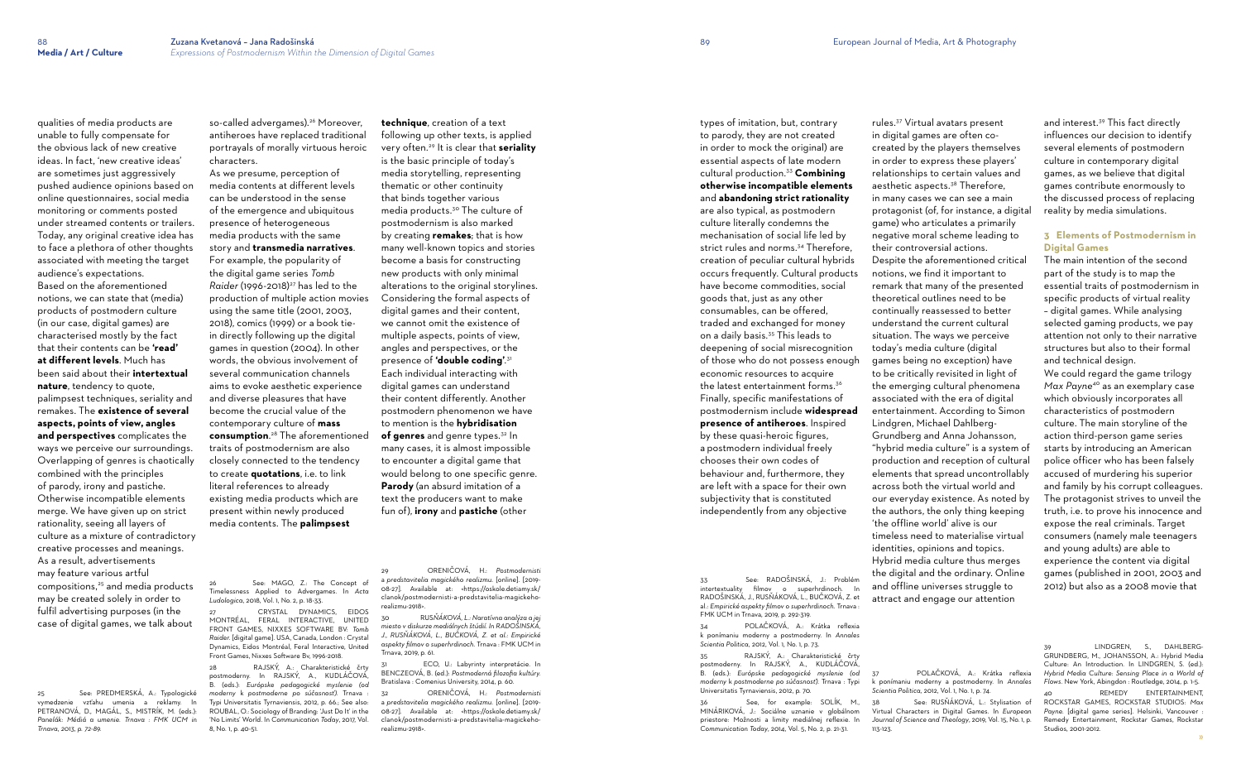qualities of media products are

unable to fully compensate for the obvious lack of new creative ideas. In fact, 'new creative ideas' are sometimes just aggressively pushed audience opinions based on online questionnaires, social media monitoring or comments posted under streamed contents or trailers. Today, any original creative idea has to face a plethora of other thoughts associated with meeting the target audience's expectations. Based on the aforementioned notions, we can state that (media) products of postmodern culture (in our case, digital games) are characterised mostly by the fact that their contents can be **'read' at different levels**. Much has been said about their **intertextual nature**, tendency to quote, palimpsest techniques, seriality and remakes. The **existence of several aspects, points of view, angles and perspectives** complicates the ways we perceive our surroundings. Overlapping of genres is chaotically combined with the principles of parody, irony and pastiche. Otherwise incompatible elements merge. We have given up on strict rationality, seeing all layers of culture as a mixture of contradictory creative processes and meanings. As a result, advertisements may feature various artful compositions,25 and media products may be created solely in order to fulfil advertising purposes (in the case of digital games, we talk about

so-called advergames).<sup>26</sup> Moreover, antiheroes have replaced traditional portrayals of morally virtuous heroic characters.

See: MAGO, Z.: The Concept of Timelessness Applied to Advergames. In *Acta Ludologica*, 2018, Vol. 1, No. 2, p. 18-33.

[CRYSTAL DYNAMICS,](https://www.google.sk/search?q=crystal+dynamics&stick=H4sIAAAAAAAAAOPgE-LSz9U3SCvMiU8zUOIEsU0zcnKrtFSyk630k8vS9ZPzcwtKS1KL4ssyU1Lz0xNzU61SUstSc_ILUosWsQokF1UWlyTmKKRU5iXmZiYXAwA006ogUgAAAA&sa=X&ved=2ahUKEwiW9r6Pgu3gAhUSyKQKHUaQBBYQmxMoATAdegQICxAN) EIDOS [MONTRÉAL,](https://www.google.sk/search?q=eidos+montreal&stick=H4sIAAAAAAAAAOPgE-LSz9U3SCvMiU8zUAKzTYsrMsrTtVSyk630k8vS9ZPzcwtKS1KL4ssyU1Lz0xNzU61SUstSc_ILUosWsfKlZqbkFyvk5ueVFKUm5gAAyYt-elEAAAA&sa=X&ved=2ahUKEwiW9r6Pgu3gAhUSyKQKHUaQBBYQmxMoAjAdegQICxAO) [FERAL INTERACTIVE,](https://www.google.sk/search?q=feral+interactive&stick=H4sIAAAAAAAAAOPgE-LSz9U3SCvMiU8zUOIEsS1SqpKTtVSyk630k8vS9ZPzcwtKS1KL4ssyU1Lz0xNzU61SUstSc_ILUosWsQqmpRYl5ihk5gFVJCaXZJalAgAsYf6vUwAAAA&sa=X&ved=2ahUKEwiW9r6Pgu3gAhUSyKQKHUaQBBYQmxMoAzAdegQICxAP) [UNITED](https://www.google.sk/search?q=united+front+games&stick=H4sIAAAAAAAAAOPgE-LSz9U3SCvMiU8zUAKzLdNzLMuLtFSyk630k8vS9ZPzcwtKS1KL4ssyU1Lz0xNzU61SUstSc_ILUosWsQqV5mWWpKYopBXl55UogGSLAWcEWe1VAAAA&sa=X&ved=2ahUKEwiW9r6Pgu3gAhUSyKQKHUaQBBYQmxMoBDAdegQICxAQ)  [FRONT GAMES](https://www.google.sk/search?q=united+front+games&stick=H4sIAAAAAAAAAOPgE-LSz9U3SCvMiU8zUAKzLdNzLMuLtFSyk630k8vS9ZPzcwtKS1KL4ssyU1Lz0xNzU61SUstSc_ILUosWsQqV5mWWpKYopBXl55UogGSLAWcEWe1VAAAA&sa=X&ved=2ahUKEwiW9r6Pgu3gAhUSyKQKHUaQBBYQmxMoBDAdegQICxAQ), [NIXXES SOFTWARE BV:](https://www.google.sk/search?q=nixxes&stick=H4sIAAAAAAAAAOPgE-LSz9U3SCvMiU8zUAKziywKUgyztVSyk630k8vS9ZPzcwtKS1KL4ssyU1Lz0xNzU61SUstSc_ILUosWsbLlZVZUpBYDABFxF1JJAAAA&sa=X&ved=2ahUKEwiW9r6Pgu3gAhUSyKQKHUaQBBYQmxMoBTAdegQICxAR) *Tomb Raider.* [digital game]. USA, Canada, London : [Crystal](https://www.google.sk/search?q=crystal+dynamics&stick=H4sIAAAAAAAAAOPgE-LSz9U3SCvMiU8zUOIEsU0zcnKrtFSyk630k8vS9ZPzcwtKS1KL4ssyU1Lz0xNzU61SUstSc_ILUosWsQokF1UWlyTmKKRU5iXmZiYXAwA006ogUgAAAA&sa=X&ved=2ahUKEwiW9r6Pgu3gAhUSyKQKHUaQBBYQmxMoATAdegQICxAN)  [Dynamics,](https://www.google.sk/search?q=crystal+dynamics&stick=H4sIAAAAAAAAAOPgE-LSz9U3SCvMiU8zUOIEsU0zcnKrtFSyk630k8vS9ZPzcwtKS1KL4ssyU1Lz0xNzU61SUstSc_ILUosWsQokF1UWlyTmKKRU5iXmZiYXAwA006ogUgAAAA&sa=X&ved=2ahUKEwiW9r6Pgu3gAhUSyKQKHUaQBBYQmxMoATAdegQICxAN) [Eidos Montréal](https://www.google.sk/search?q=eidos+montreal&stick=H4sIAAAAAAAAAOPgE-LSz9U3SCvMiU8zUAKzTYsrMsrTtVSyk630k8vS9ZPzcwtKS1KL4ssyU1Lz0xNzU61SUstSc_ILUosWsfKlZqbkFyvk5ueVFKUm5gAAyYt-elEAAAA&sa=X&ved=2ahUKEwiW9r6Pgu3gAhUSyKQKHUaQBBYQmxMoAjAdegQICxAO), [Feral Interactive](https://www.google.sk/search?q=feral+interactive&stick=H4sIAAAAAAAAAOPgE-LSz9U3SCvMiU8zUOIEsS1SqpKTtVSyk630k8vS9ZPzcwtKS1KL4ssyU1Lz0xNzU61SUstSc_ILUosWsQqmpRYl5ihk5gFVJCaXZJalAgAsYf6vUwAAAA&sa=X&ved=2ahUKEwiW9r6Pgu3gAhUSyKQKHUaQBBYQmxMoAzAdegQICxAP), United Front Games, [Nixxes So](https://www.google.sk/search?q=nixxes&stick=H4sIAAAAAAAAAOPgE-LSz9U3SCvMiU8zUAKziywKUgyztVSyk630k8vS9ZPzcwtKS1KL4ssyU1Lz0xNzU61SUstSc_ILUosWsbLlZVZUpBYDABFxF1JJAAAA&sa=X&ved=2ahUKEwiW9r6Pgu3gAhUSyKQKHUaQBBYQmxMoBTAdegQICxAR)ftware Bv, 1996-2018.

25 See: PREDMERSKÁ, A.: Typologické vymedzenie vzťahu umenia a reklamy. In PETRANOVÁ, D., MAGÁL, S., MISTRÍK, M. (eds.): *Panelák: Médiá a umenie. Trnava : FMK UCM in Trnava, 2013, p. 72-89.*

As we presume, perception of media contents at different levels can be understood in the sense of the emergence and ubiquitous presence of heterogeneous media products with the same story and **transmedia narratives**. For example, the popularity of the digital game series *Tomb Raider* (1996-2018)<sup>27</sup> has led to the production of multiple action movies using the same title (2001, 2003, 2018), comics (1999) or a book tiein directly following up the digital games in question (2004). In other words, the obvious involvement of several communication channels aims to evoke aesthetic experience and diverse pleasures that have become the crucial value of the contemporary culture of **mass consumption**. <sup>28</sup> The aforementioned traits of postmodernism are also closely connected to the tendency to create **quotations**, i.e. to link literal references to already existing media products which are present within newly produced media contents. The **palimpsest** 

> ECO, U.: Labyrinty interpretácie. In BENCZEOVÁ, B. (ed.): *Postmoderná filozofia kultúry.*  Bratislava : Comenius University, 2014, p. 60.

28 RAJSKÝ, A.: Charakteristické črty postmoderny. In RAJSKÝ, A., KUDLÁČOVÁ, B. (eds.): *Európske pedagogické myslenie (od moderny* k *postmoderne po súčasnosť).* Trnava : Typi Universitatis Tyrnaviensis, 2012, p. 66.; See also: ROUBAL, O.: Sociology of Branding: 'Just Do It' in the 'No Limits' World. In *Communication Today*, 2017, Vol. 8, No. 1, p. 40-51.

**technique**, creation of a text following up other texts, is applied very often.29 It is clear that **seriality** is the basic principle of today's media storytelling, representing thematic or other continuity that binds together various media products.30 The culture of postmodernism is also marked by creating **remakes**; that is how many well-known topics and stories become a basis for constructing new products with only minimal alterations to the original storylines. Considering the formal aspects of digital games and their content, we cannot omit the existence of multiple aspects, points of view, angles and perspectives, or the presence of **'double coding'**. 31 Each individual interacting with digital games can understand their content differently. Another postmodern phenomenon we have to mention is the **hybridisation of genres** and genre types.<sup>32</sup> In many cases, it is almost impossible to encounter a digital game that would belong to one specific genre. **Parody** (an absurd imitation of a text the producers want to make fun of), **irony** and **pastiche** (other

29 ORENIČOVÁ, H.: *Postmodernisti* a *predstavitelia magického realizmu.* [online]. [2019- 08-27]. Available at: <https://oskole.detiamy.sk/ clanok/postmodernisti-a-predstavitelia-magickehorealizmu-2918>.

30 RUS*ŇÁKOVÁ, L.: Naratívna analýza a jej miesto v diskurze mediálnych štúdií. In RADOŠINSKÁ, J., RUSŇÁKOVÁ, L., BUČKOVÁ, Z. et al.: Empirické aspekty filmov o superhrdinoch.* Trnava : FMK UCM in Trnava, 2019, p. 61.

32 ORENIČOVÁ, H.: *Postmodernisti* a *predstavitelia magického realizmu.* [online]. [2019- 08-27]. Available at: <https://oskole.detiamy.sk/ clanok/postmodernisti-a-predstavitelia-magickehorealizmu-2918>.

types of imitation, but, contrary to parody, they are not created in order to mock the original) are essential aspects of late modern cultural production.<sup>33</sup> **Combining otherwise incompatible elements** and **abandoning strict rationality** are also typical, as postmodern culture literally condemns the mechanisation of social life led by strict rules and norms.<sup>34</sup> Therefore, creation of peculiar cultural hybrids occurs frequently. Cultural products have become commodities, social goods that, just as any other consumables, can be offered, traded and exchanged for money on a daily basis.35 This leads to deepening of social misrecognition of those who do not possess enough economic resources to acquire the latest entertainment forms.<sup>36</sup> Finally, specific manifestations of postmodernism include **widespread presence of antiheroes**. Inspired by these quasi-heroic figures, a postmodern individual freely chooses their own codes of behaviour and, furthermore, they are left with a space for their own subjectivity that is constituted independently from any objective

33 See: RADOŠINSKÁ, J.: Problém intertextuality filmov o superhrdinoch. In RADOŠINSKÁ, J., RUSŇÁKOVÁ, L., BUČKOVÁ, Z. et al.: *Empirické aspekty filmov o superhrdinoch*. Trnava : FMK UCM in Trnava, 2019, p. 292-319.

34 POLAČKOVÁ, A.: Krátka reflexia k ponímaniu moderny a postmoderny. In *Annales Scientia Politica,* 2012, Vol. 1, No. 1, p. 73.

35 RAJSKÝ, A.: Charakteristické črty postmoderny. In RAJSKÝ, A., KUDLÁČOVÁ, B. (eds.): *Európske pedagogické myslenie (od moderny* k *postmoderne po súčasnosť).* Trnava : Typi Universitatis Tyrnaviensis, 2012, p. 70.

36 See, for example: SOLÍK, M., MINÁRIKOVÁ, J.: Sociálne uznanie v globálnom priestore: Možnosti a limity mediálnej reflexie. In *Communication Today*, 2014, Vol. 5, No. 2, p. 21-31.

rules.37 Virtual avatars present in digital games are often cocreated by the players themselves in order to express these players' relationships to certain values and aesthetic aspects.38 Therefore, in many cases we can see a main protagonist (of, for instance, a digital game) who articulates a primarily negative moral scheme leading to their controversial actions.

Despite the aforementioned critical notions, we find it important to remark that many of the presented theoretical outlines need to be continually reassessed to better understand the current cultural situation. The ways we perceive today's media culture (digital games being no exception) have to be critically revisited in light of the emerging cultural phenomena associated with the era of digital entertainment. According to Simon Lindgren, Michael Dahlberg-Grundberg and Anna Johansson, "hybrid media culture" is a system of production and reception of cultural elements that spread uncontrollably across both the virtual world and our everyday existence. As noted by the authors, the only thing keeping 'the offline world' alive is our timeless need to materialise virtual identities, opinions and topics. Hybrid media culture thus merges the digital and the ordinary. Online and offline universes struggle to attract and engage our attention

38 See: RUSŇÁKOVÁ, L.: Stylisation of Virtual Characters in Digital Games. In *European Journal of Science and Theology*, 2019, Vol. 15, No. 1, p.

LINDGREN, S., DAHLBERG-GRUNDBERG, M., JOHANSSON, A.: Hybrid Media Culture: An Introduction. In LINDGREN, S. (ed.): *Hybrid Media Culture: Sensing Place in a World of Flows*. New York, Abingdon : Routledge, 2014, p. 1-5. 40 REMEDY ENTERTAINMENT, ROCKSTAR GAMES, ROCKSTAR STUDIOS: *Max Payne.* [digital game series]. Helsinki, Vancouver : Remedy Entertainment, Rockstar Games, Rockstar Studios, 2001-2012.

113-123.

and interest. 39 This fact directly influences our decision to identify several elements of postmodern culture in contemporary digital games, as we believe that digital games contribute enormously to the discussed process of replacing reality by media simulations.

# **3 Elements of Postmodernism in Digital Games**

The main intention of the second part of the study is to map the essential traits of postmodernism in specific products of virtual reality – digital games. While analysing selected gaming products, we pay attention not only to their narrative structures but also to their formal and technical design.

We could regard the game trilogy *Max Payne* 40 as an exemplary case which obviously incorporates all characteristics of postmodern culture. The main storyline of the action third-person game series starts by introducing an American police officer who has been falsely accused of murdering his superior and family by his corrupt colleagues. The protagonist strives to unveil the truth, i.e. to prove his innocence and expose the real criminals. Target consumers (namely male teenagers and young adults) are able to experience the content via digital games (published in 2001, 2003 and 2012) but also as a 2008 movie that

POLAČKOVÁ, A.: Krátka reflexia k ponímaniu moderny a postmoderny. In *Annales Scientia Politica,* 2012, Vol. 1, No. 1, p. 74.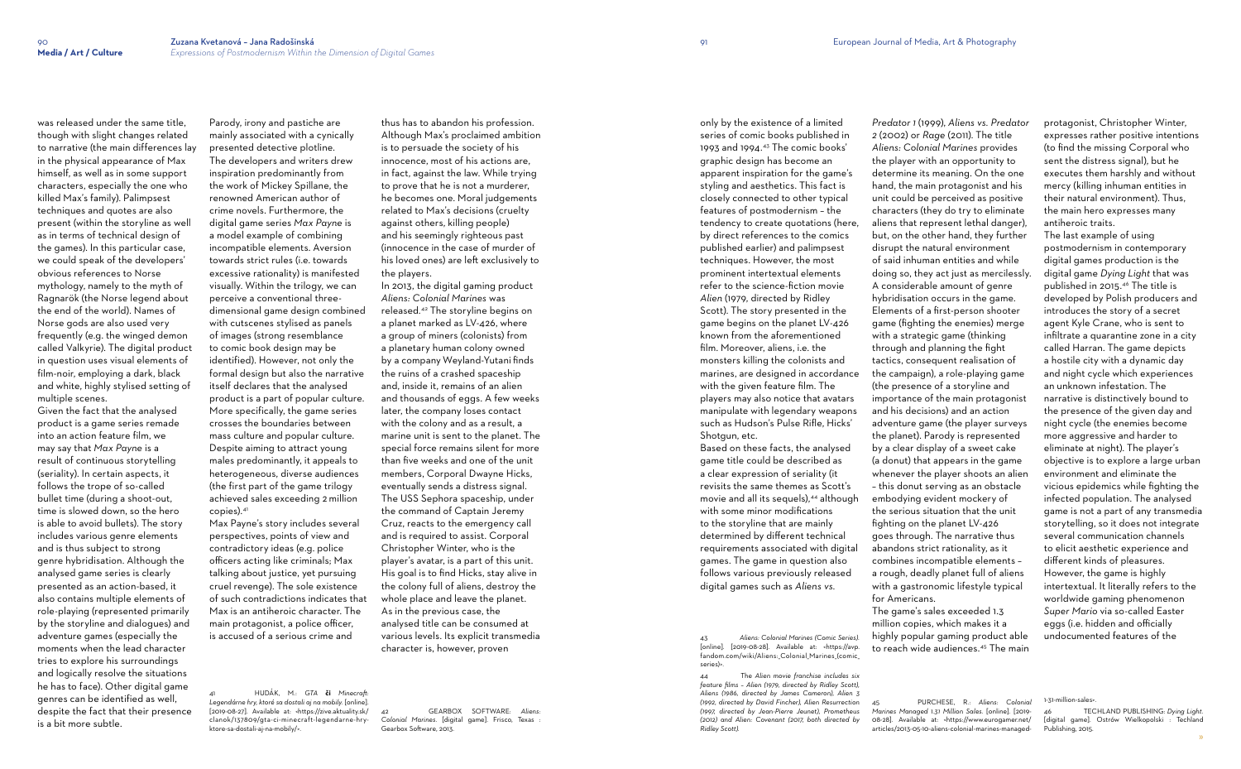was released under the same title, though with slight changes related to narrative (the main differences lay in the physical appearance of Max himself, as well as in some support characters, especially the one who killed Max's family). Palimpsest techniques and quotes are also present (within the storyline as well as in terms of technical design of the games). In this particular case, we could speak of the developers' obvious references to Norse mythology, namely to the myth of Ragnarök (the Norse legend about the end of the world). Names of Norse gods are also used very frequently (e.g. the winged demon called Valkyrie). The digital product in question uses visual elements of film-noir, employing a dark, black and white, highly stylised setting of multiple scenes.

Given the fact that the analysed product is a game series remade into an action feature film, we may say that *Max Payne* is a result of continuous storytelling (seriality). In certain aspects, it follows the trope of so-called bullet time (during a shoot-out, time is slowed down, so the hero is able to avoid bullets). The story includes various genre elements and is thus subject to strong genre hybridisation. Although the analysed game series is clearly presented as an action-based, it also contains multiple elements of role-playing (represented primarily by the storyline and dialogues) and adventure games (especially the moments when the lead character tries to explore his surroundings and logically resolve the situations he has to face). Other digital game genres can be identified as well, despite the fact that their presence is a bit more subtle.

Parody, irony and pastiche are mainly associated with a cynically presented detective plotline. The developers and writers drew inspiration predominantly from the work of Mickey Spillane, the renowned American author of crime novels. Furthermore, the digital game series *Max Payne* is a model example of combining incompatible elements. Aversion towards strict rules (i.e. towards excessive rationality) is manifested visually. Within the trilogy, we can perceive a conventional threedimensional game design combined with cutscenes stylised as panels of images (strong resemblance to comic book design may be identified). However, not only the formal design but also the narrative itself declares that the analysed product is a part of popular culture. More specifically, the game series crosses the boundaries between mass culture and popular culture. Despite aiming to attract young males predominantly, it appeals to heterogeneous, diverse audiences (the first part of the game trilogy achieved sales exceeding 2 million copies).<sup>41</sup>

only by the existence of a limited series of comic books published in 1993 and 1994.43 The comic books' graphic design has become an apparent inspiration for the game's styling and aesthetics. This fact is closely connected to other typical features of postmodernism – the tendency to create quotations (here, by direct references to the comics published earlier) and palimpsest techniques. However, the most prominent intertextual elements refer to the science-fiction movie *Alien* (1979, directed by Ridley Scott). The story presented in the game begins on the planet LV-426 known from the aforementioned film. Moreover, aliens, i.e. the monsters killing the colonists and marines, are designed in accordance with the given feature film. The players may also notice that avatars manipulate with legendary weapons such as Hudson's Pulse Rifle, Hicks' Shotaun, etc.

Max Payne's story includes several perspectives, points of view and contradictory ideas (e.g. police officers acting like criminals; Max talking about justice, yet pursuing cruel revenge). The sole existence of such contradictions indicates that Max is an antiheroic character. The main protagonist, a police officer, is accused of a serious crime and

41 HUDÁK, M.: *GTA* **či** *Minecraft: Legendárne hry, ktoré sa dostali aj na mobily.* [online]. [2019-08-27]. Available at: <https://zive.aktuality.sk/ clanok/137809/gta-ci-minecraft-legendarne-hryktore-sa-dostali-aj-na-mobily/>.

thus has to abandon his profession. Although Max's proclaimed ambition is to persuade the society of his innocence, most of his actions are, in fact, against the law. While trying to prove that he is not a murderer, he becomes one. Moral judgements related to Max's decisions (cruelty against others, killing people) and his seemingly righteous past (innocence in the case of murder of his loved ones) are left exclusively to the players.

In 2013, the digital gaming product *Aliens: Colonial Marines* was released*.* <sup>42</sup> The storyline begins on a planet marked as LV-426, where a group of miners (colonists) from a planetary human colony owned by a company Weyland-Yutani finds the ruins of a crashed spaceship and, inside it, remains of an alien and thousands of eggs. A few weeks later, the company loses contact with the colony and as a result, a marine unit is sent to the planet. The special force remains silent for more than five weeks and one of the unit members, Corporal Dwayne Hicks, eventually sends a distress signal. The USS Sephora spaceship, under the command of Captain Jeremy Cruz, reacts to the emergency call and is required to assist. Corporal Christopher Winter, who is the player's avatar, is a part of this unit. His goal is to find Hicks, stay alive in the colony full of aliens, destroy the whole place and leave the planet. As in the previous case, the analysed title can be consumed at various levels. Its explicit transmedia character is, however, proven

42 GEARBOX SOFTWARE: *Aliens: Colonial Marines.* [digital game]. Frisco, Texas : Gearbox Software, 2013.

Based on these facts, the analysed game title could be described as a clear expression of seriality (it revisits the same themes as Scott's movie and all its sequels),<sup>44</sup> although with some minor modifications to the storyline that are mainly determined by different technical requirements associated with digital games. The game in question also follows various previously released digital games such as *Aliens vs.* 

43 *Aliens: Colonial Marines (Comic Series).*  [online]. [2019-08-28]. Available at: <https://avp. fandom.com/wiki/Aliens: Colonial Marines (comic series)>.

44 The *Alien movie franchise includes six feature films – Alien (1979, directed by Ridley Scott), Aliens (1986, directed by James Cameron), Alien 3 (1992, directed by David Fincher), Alien Resurrection (1997, directed by Jean-Pierre Jeunet), Prometheus (2012) and Alien: Covenant (2017, both directed by Ridley Scott).*

*Predator 1* (1999), *Aliens vs. Predator 2* (2002) or *Rage* (2011). The title *Aliens: Colonial Marines* provides the player with an opportunity to determine its meaning. On the one hand, the main protagonist and his unit could be perceived as positive characters (they do try to eliminate aliens that represent lethal danger), but, on the other hand, they further disrupt the natural environment of said inhuman entities and while doing so, they act just as mercilessly. A considerable amount of genre hybridisation occurs in the game. Elements of a first-person shooter game (fighting the enemies) merge with a strategic game (thinking through and planning the fight tactics, consequent realisation of the campaign), a role-playing game (the presence of a storyline and importance of the main protagonist and his decisions) and an action adventure game (the player surveys the planet). Parody is represented by a clear display of a sweet cake (a donut) that appears in the game whenever the player shoots an alien – this donut serving as an obstacle embodying evident mockery of the serious situation that the unit fighting on the planet LV-426 goes through. The narrative thus abandons strict rationality, as it combines incompatible elements – a rough, deadly planet full of aliens with a gastronomic lifestyle typical

for Americans.

The game's sales exceeded 1.3 million copies, which makes it a highly popular gaming product able to reach wide audiences.45 The main protagonist, Christopher Winter, expresses rather positive intentions (to find the missing Corporal who sent the distress signal), but he executes them harshly and without mercy (killing inhuman entities in their natural environment). Thus, the main hero expresses many antiheroic traits. The last example of using postmodernism in contemporary digital games production is the digital game *Dying Light* that was published in 2015. 46 The title is developed by Polish producers and introduces the story of a secret agent Kyle Crane, who is sent to infiltrate a quarantine zone in a city called Harran. The game depicts a hostile city with a dynamic day and night cycle which experiences an unknown infestation. The narrative is distinctively bound to the presence of the given day and night cycle (the enemies become more aggressive and harder to eliminate at night). The player's objective is to explore a large urban environment and eliminate the vicious epidemics while fighting the infected population. The analysed

game is not a part of any transmedia storytelling, so it does not integrate several communication channels to elicit aesthetic experience and different kinds of pleasures. However, the game is highly intertextual. It literally refers to the worldwide gaming phenomenon *Super Mario* via so-called Easter eggs (i.e. hidden and officially undocumented features of the

<sup>46</sup> TECHLAND PUBLISHING: *Dying Light*. [digital game]. Ostrów Wielkopolski : Techland Publishing, 2015.

<sup>45</sup> PURCHESE, R.: *Aliens: Colonial Marines Managed 1.31 Million Sales.* [online]. [2019- 08-28]. Available at: <https://www.eurogamer.net/ articles/2013-05-10-aliens-colonial-marines-managed-

<sup>1-31-</sup>million-sales>.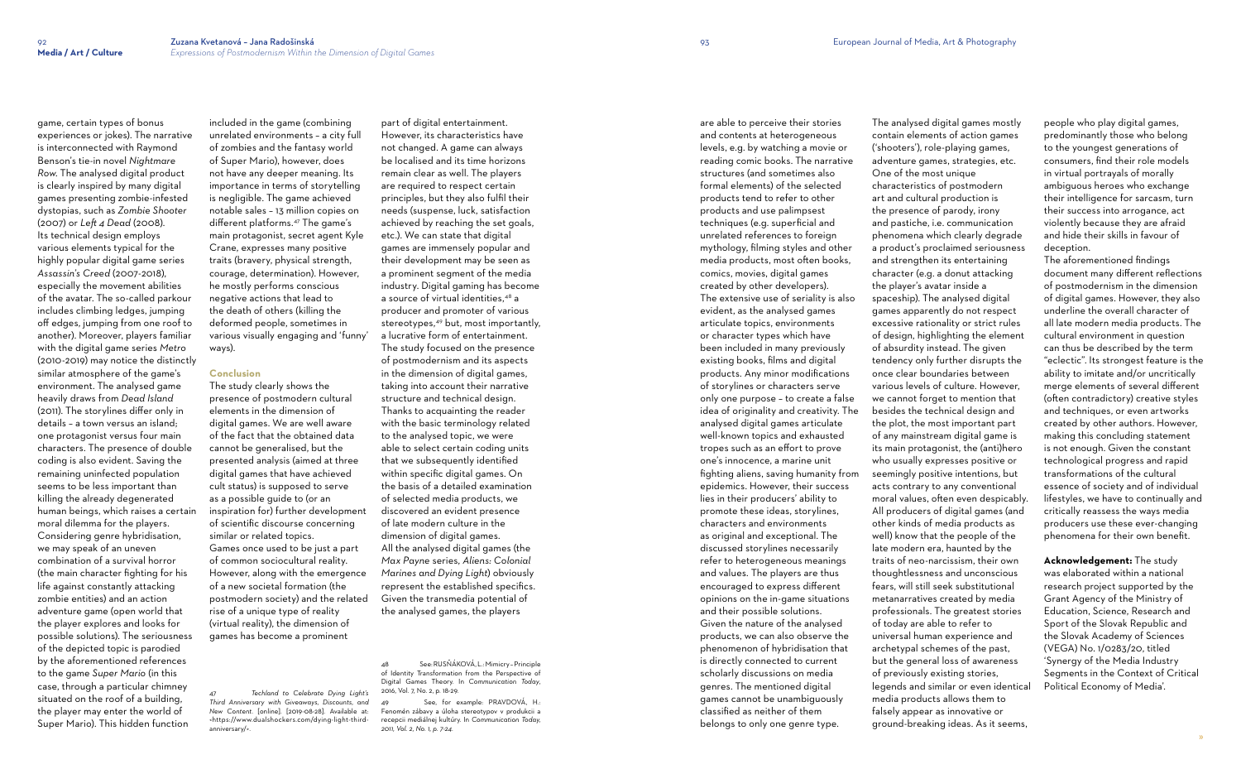game, certain types of bonus experiences or jokes). The narrative is interconnected with Raymond Benson's tie-in novel *Nightmare Row*. The analysed digital product is clearly inspired by many digital games presenting zombie-infested dystopias, such as *Zombie Shooter*  (2007) or *Left 4 Dead* (2008). Its technical design employs various elements typical for the highly popular digital game series *Assassin's Creed* (2007-2018), especially the movement abilities of the avatar. The so-called parkour includes climbing ledges, jumping off edges, jumping from one roof to another). Moreover, players familiar with the digital game series *Metro*  (2010-2019) may notice the distinctly similar atmosphere of the game's environment. The analysed game heavily draws from *Dead Island* (2011). The storylines differ only in details – a town versus an island; one protagonist versus four main characters. The presence of double coding is also evident. Saving the remaining uninfected population seems to be less important than killing the already degenerated human beings, which raises a certain moral dilemma for the players. Considering genre hybridisation, we may speak of an uneven combination of a survival horror (the main character fighting for his life against constantly attacking zombie entities) and an action adventure game (open world that the player explores and looks for possible solutions). The seriousness of the depicted topic is parodied by the aforementioned references to the game *Super Mario* (in this case, through a particular chimney situated on the roof of a building, the player may enter the world of Super Mario). This hidden function

included in the game (combining unrelated environments – a city full of zombies and the fantasy world of Super Mario), however, does not have any deeper meaning. Its importance in terms of storytelling is negligible. The game achieved notable sales – 13 million copies on different platforms.47 The game's main protagonist, secret agent Kyle Crane, expresses many positive traits (bravery, physical strength, courage, determination). However, he mostly performs conscious negative actions that lead to the death of others (killing the deformed people, sometimes in various visually engaging and 'funny' ways).

#### **Conclusion**

See, for example: PRAVDOVÁ, H.: Fenomén zábavy a úloha stereotypov v produkcii a recepcii mediálnej kultúry. In *Communication Today, 2011, Vol. 2, No. 1, p. 7-24.*

The study clearly shows the presence of postmodern cultural elements in the dimension of digital games. We are well aware of the fact that the obtained data cannot be generalised, but the presented analysis (aimed at three digital games that have achieved cult status) is supposed to serve as a possible guide to (or an inspiration for) further development of scientific discourse concerning similar or related topics. Games once used to be just a part of common sociocultural reality. However, along with the emergence of a new societal formation (the postmodern society) and the related rise of a unique type of reality (virtual reality), the dimension of games has become a prominent

47 *Techland to Celebrate Dying Light's Third Anniversary with Giveaways, Discounts, and New Content.* [online]. [2019-08-28]. Available at: <https://www.dualshockers.com/dying-light-thirdanniversary/>.

part of digital entertainment. However, its characteristics have not changed. A game can always be localised and its time horizons remain clear as well. The players are required to respect certain principles, but they also fulfil their needs (suspense, luck, satisfaction achieved by reaching the set goals, etc.). We can state that digital games are immensely popular and their development may be seen as a prominent segment of the media industry. Digital gaming has become a source of virtual identities,48 a producer and promoter of various stereotypes,<sup>49</sup> but, most importantly, a lucrative form of entertainment. The study focused on the presence of postmodernism and its aspects in the dimension of digital games, taking into account their narrative structure and technical design. Thanks to acquainting the reader with the basic terminology related to the analysed topic, we were able to select certain coding units that we subsequently identified within specific digital games. On the basis of a detailed examination of selected media products, we discovered an evident presence of late modern culture in the dimension of digital games. All the analysed digital games (the *Max Payne* series, *Aliens: Colonial Marines and Dying Light*) obviously represent the established specifics. Given the transmedia potential of the analysed games, the players

48 See: RUSŇÁKOVÁ, L.: Mimicry – Principle of Identity Transformation from the Perspective of Digital Games Theory. In *Communication Today*, 2016, Vol. 7, No. 2, p. 18-29.

are able to perceive their stories and contents at heterogeneous levels, e.g. by watching a movie or reading comic books. The narrative structures (and sometimes also formal elements) of the selected products tend to refer to other products and use palimpsest techniques (e.g. superficial and unrelated references to foreign mythology, filming styles and other media products, most often books, comics, movies, digital games created by other developers). The extensive use of seriality is also evident, as the analysed games articulate topics, environments or character types which have been included in many previously existing books, films and digital products. Any minor modifications of storylines or characters serve only one purpose – to create a false idea of originality and creativity. The analysed digital games articulate well-known topics and exhausted tropes such as an effort to prove one's innocence, a marine unit fighting aliens, saving humanity from epidemics. However, their success lies in their producers' ability to promote these ideas, storylines, characters and environments as original and exceptional. The discussed storylines necessarily refer to heterogeneous meanings and values. The players are thus encouraged to express different opinions on the in-game situations and their possible solutions. Given the nature of the analysed products, we can also observe the phenomenon of hybridisation that is directly connected to current scholarly discussions on media genres. The mentioned digital games cannot be unambiguously classified as neither of them belongs to only one genre type.

The analysed digital games mostly contain elements of action games ('shooters'), role-playing games, adventure games, strategies, etc. One of the most unique characteristics of postmodern art and cultural production is the presence of parody, irony and pastiche, i.e. communication phenomena which clearly degrade a product's proclaimed seriousness and strengthen its entertaining character (e.g. a donut attacking the player's avatar inside a spaceship). The analysed digital games apparently do not respect excessive rationality or strict rules of design, highlighting the element of absurdity instead. The given tendency only further disrupts the once clear boundaries between various levels of culture. However, we cannot forget to mention that besides the technical design and the plot, the most important part of any mainstream digital game is its main protagonist, the (anti)hero who usually expresses positive or seemingly positive intentions, but acts contrary to any conventional moral values, often even despicably. All producers of digital games (and other kinds of media products as well) know that the people of the late modern era, haunted by the traits of neo-narcissism, their own thoughtlessness and unconscious fears, will still seek substitutional metanarratives created by media professionals. The greatest stories of today are able to refer to universal human experience and archetypal schemes of the past, but the general loss of awareness of previously existing stories, legends and similar or even identical media products allows them to falsely appear as innovative or ground-breaking ideas. As it seems,

people who play digital games, predominantly those who belong to the youngest generations of consumers, find their role models in virtual portrayals of morally ambiguous heroes who exchange their intelligence for sarcasm, turn their success into arrogance, act violently because they are afraid and hide their skills in favour of deception.

The aforementioned findings document many different reflections of postmodernism in the dimension of digital games. However, they also underline the overall character of all late modern media products. The cultural environment in question can thus be described by the term "eclectic". Its strongest feature is the ability to imitate and/or uncritically merge elements of several different (often contradictory) creative styles and techniques, or even artworks created by other authors. However, making this concluding statement is not enough. Given the constant technological progress and rapid transformations of the cultural essence of society and of individual lifestyles, we have to continually and critically reassess the ways media producers use these ever-changing phenomena for their own benefit.

**Acknowledgement:** The study was elaborated within a national research project supported by the Grant Agency of the Ministry of Education, Science, Research and Sport of the Slovak Republic and the Slovak Academy of Sciences (VEGA) No. 1/0283/20, titled 'Synergy of the Media Industry Segments in the Context of Critical Political Economy of Media'.